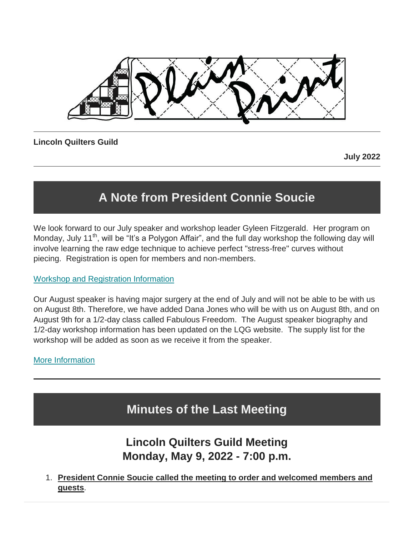

### **Lincoln Quilters Guild**

**July 2022**

# **A Note from President Connie Soucie**

We look forward to our July speaker and workshop leader Gyleen Fitzgerald. Her program on Monday, July 11<sup>th</sup>, will be "It's a Polygon Affair", and the full day workshop the following day will involve learning the raw edge technique to achieve perfect "stress-free" curves without piecing. Registration is open for members and non-members.

#### [Workshop and Registration Information](https://lincolnquiltersguild.org/classes/post/?permalink=july-workshop)

Our August speaker is having major surgery at the end of July and will not be able to be with us on August 8th. Therefore, we have added Dana Jones who will be with us on August 8th, and on August 9th for a 1/2-day class called Fabulous Freedom. The August speaker biography and 1/2-day workshop information has been updated on the LQG website. The supply list for the workshop will be added as soon as we receive it from the speaker.

## [More Information](https://lincolnquiltersguild.org/classes/)

# **Minutes of the Last Meeting**

## **Lincoln Quilters Guild Meeting Monday, May 9, 2022 - 7:00 p.m.**

1. **President Connie Soucie called the meeting to order and welcomed members and guests**.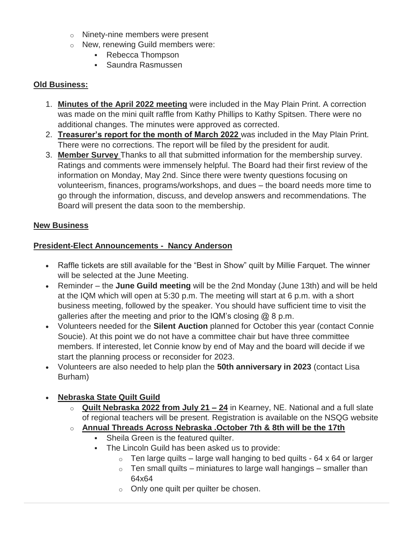- o Ninety-nine members were present
- o New, renewing Guild members were:
	- Rebecca Thompson
	- Saundra Rasmussen

#### **Old Business:**

- 1. **Minutes of the April 2022 meeting** were included in the May Plain Print. A correction was made on the mini quilt raffle from Kathy Phillips to Kathy Spitsen. There were no additional changes. The minutes were approved as corrected.
- 2. **Treasurer's report for the month of March 2022** was included in the May Plain Print. There were no corrections. The report will be filed by the president for audit.
- 3. **Member Survey** Thanks to all that submitted information for the membership survey. Ratings and comments were immensely helpful. The Board had their first review of the information on Monday, May 2nd. Since there were twenty questions focusing on volunteerism, finances, programs/workshops, and dues – the board needs more time to go through the information, discuss, and develop answers and recommendations. The Board will present the data soon to the membership.

#### **New Business**

#### **President-Elect Announcements - Nancy Anderson**

- Raffle tickets are still available for the "Best in Show" quilt by Millie Farquet. The winner will be selected at the June Meeting.
- Reminder the **June Guild meeting** will be the 2nd Monday (June 13th) and will be held at the IQM which will open at 5:30 p.m. The meeting will start at 6 p.m. with a short business meeting, followed by the speaker. You should have sufficient time to visit the galleries after the meeting and prior to the IQM's closing  $@$  8 p.m.
- Volunteers needed for the **Silent Auction** planned for October this year (contact Connie Soucie). At this point we do not have a committee chair but have three committee members. If interested, let Connie know by end of May and the board will decide if we start the planning process or reconsider for 2023.
- Volunteers are also needed to help plan the **50th anniversary in 2023** (contact Lisa Burham)

#### **Nebraska State Quilt Guild**

- o **Quilt Nebraska 2022 from July 21 – 24** in Kearney, NE. National and a full slate of regional teachers will be present. Registration is available on the NSQG website
- o **Annual Threads Across Nebraska .October 7th & 8th will be the 17th**
	- **Sheila Green is the featured quilter.**
	- The Lincoln Guild has been asked us to provide:
		- $\circ$  Ten large quilts large wall hanging to bed quilts 64 x 64 or larger
		- $\circ$  Ten small quilts miniatures to large wall hangings smaller than 64x64
		- o Only one quilt per quilter be chosen.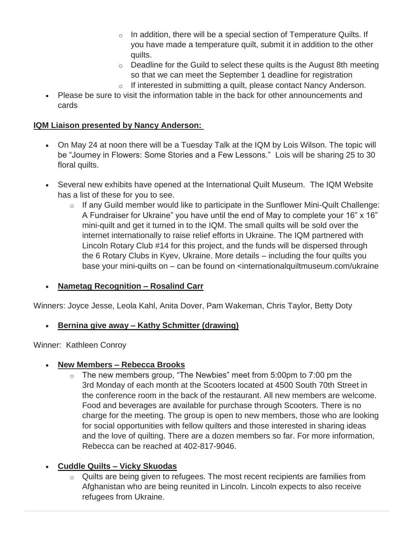- $\circ$  In addition, there will be a special section of Temperature Quilts. If you have made a temperature quilt, submit it in addition to the other quilts.
- $\circ$  Deadline for the Guild to select these quilts is the August 8th meeting so that we can meet the September 1 deadline for registration
- o If interested in submitting a quilt, please contact Nancy Anderson.
- Please be sure to visit the information table in the back for other announcements and cards

#### **IQM Liaison presented by Nancy Anderson:**

- On May 24 at noon there will be a Tuesday Talk at the IQM by Lois Wilson. The topic will be "Journey in Flowers: Some Stories and a Few Lessons." Lois will be sharing 25 to 30 floral quilts.
- Several new exhibits have opened at the International Quilt Museum. The IQM Website has a list of these for you to see.
	- $\circ$  If any Guild member would like to participate in the Sunflower Mini-Quilt Challenge: A Fundraiser for Ukraine" you have until the end of May to complete your 16" x 16" mini-quilt and get it turned in to the IQM. The small quilts will be sold over the internet internationally to raise relief efforts in Ukraine. The IQM partnered with Lincoln Rotary Club #14 for this project, and the funds will be dispersed through the 6 Rotary Clubs in Kyev, Ukraine. More details – including the four quilts you base your mini-quilts on – can be found on <internationalquiltmuseum.com/ukraine

#### **Nametag Recognition – Rosalind Carr**

Winners: Joyce Jesse, Leola Kahl, Anita Dover, Pam Wakeman, Chris Taylor, Betty Doty

#### **Bernina give away – Kathy Schmitter (drawing)**

Winner: Kathleen Conroy

#### **New Members – Rebecca Brooks**

 $\circ$  The new members group, "The Newbies" meet from 5:00pm to 7:00 pm the 3rd Monday of each month at the Scooters located at 4500 South 70th Street in the conference room in the back of the restaurant. All new members are welcome. Food and beverages are available for purchase through Scooters. There is no charge for the meeting. The group is open to new members, those who are looking for social opportunities with fellow quilters and those interested in sharing ideas and the love of quilting. There are a dozen members so far. For more information, Rebecca can be reached at 402-817-9046.

#### **Cuddle Quilts – Vicky Skuodas**

Quilts are being given to refugees. The most recent recipients are families from Afghanistan who are being reunited in Lincoln. Lincoln expects to also receive refugees from Ukraine.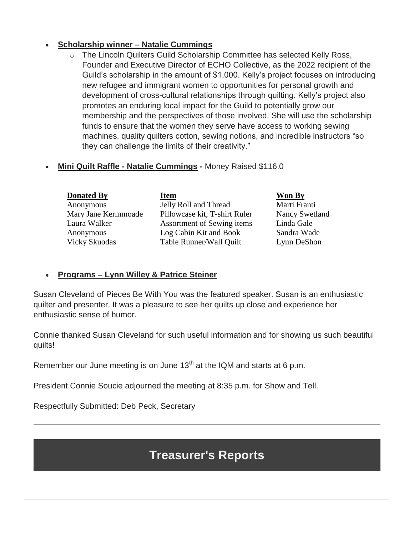### **Scholarship winner – Natalie Cummings**

- o The Lincoln Quilters Guild Scholarship Committee has selected Kelly Ross, Founder and Executive Director of ECHO Collective, as the 2022 recipient of the Guild's scholarship in the amount of \$1,000. Kelly's project focuses on introducing new refugee and immigrant women to opportunities for personal growth and development of cross-cultural relationships through quilting. Kelly's project also promotes an enduring local impact for the Guild to potentially grow our membership and the perspectives of those involved. She will use the scholarship funds to ensure that the women they serve have access to working sewing machines, quality quilters cotton, sewing notions, and incredible instructors "so they can challenge the limits of their creativity."
- **Mini Quilt Raffle - Natalie Cummings -** Money Raised \$116.0

| <b>Donated By</b>    | <b>Item</b>                   | Won By                |
|----------------------|-------------------------------|-----------------------|
| Anonymous            | Jelly Roll and Thread         | Marti Franti          |
| Mary Jane Kermmoade  | Pillowcase kit, T-shirt Ruler | <b>Nancy Swetland</b> |
| Laura Walker         | Assortment of Sewing items    | Linda Gale            |
| Anonymous            | Log Cabin Kit and Book        | Sandra Wade           |
| <b>Vicky Skuodas</b> | Table Runner/Wall Quilt       | Lynn DeShon           |

#### **Programs – Lynn Willey & Patrice Steiner**

Susan Cleveland of Pieces Be With You was the featured speaker. Susan is an enthusiastic quilter and presenter. It was a pleasure to see her quilts up close and experience her enthusiastic sense of humor.

Connie thanked Susan Cleveland for such useful information and for showing us such beautiful quilts!

Remember our June meeting is on June  $13<sup>th</sup>$  at the IQM and starts at 6 p.m.

President Connie Soucie adjourned the meeting at 8:35 p.m. for Show and Tell.

Respectfully Submitted: Deb Peck, Secretary

## **Treasurer's Reports**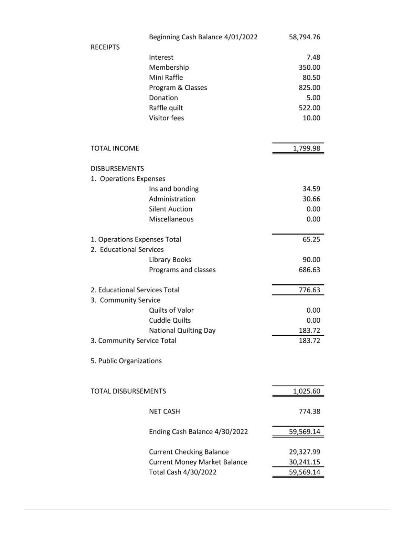|                               | Beginning Cash Balance 4/01/2022    | 58,794.76 |
|-------------------------------|-------------------------------------|-----------|
| <b>RECEIPTS</b>               |                                     |           |
|                               | Interest                            | 7.48      |
|                               | Membership                          | 350.00    |
|                               | Mini Raffle                         | 80.50     |
|                               | Program & Classes                   | 825.00    |
|                               | Donation                            | 5.00      |
|                               | Raffle quilt                        | 522.00    |
|                               | <b>Visitor fees</b>                 | 10.00     |
| <b>TOTAL INCOME</b>           |                                     | 1,799.98  |
| <b>DISBURSEMENTS</b>          |                                     |           |
| 1. Operations Expenses        |                                     |           |
|                               | Ins and bonding                     | 34.59     |
|                               | Administration                      | 30.66     |
|                               | <b>Silent Auction</b>               | 0.00      |
|                               | Miscellaneous                       | 0.00      |
|                               |                                     |           |
| 1. Operations Expenses Total  |                                     | 65.25     |
| 2. Educational Services       |                                     |           |
|                               | <b>Library Books</b>                | 90.00     |
|                               | Programs and classes                | 686.63    |
| 2. Educational Services Total |                                     | 776.63    |
| 3. Community Service          |                                     |           |
|                               | Quilts of Valor                     | 0.00      |
|                               | <b>Cuddle Quilts</b>                | 0.00      |
|                               | <b>National Quilting Day</b>        | 183.72    |
| 3. Community Service Total    |                                     | 183.72    |
| 5. Public Organizations       |                                     |           |
|                               |                                     |           |
| <b>TOTAL DISBURSEMENTS</b>    |                                     | 1,025.60  |
|                               | <b>NET CASH</b>                     | 774.38    |
|                               | Ending Cash Balance 4/30/2022       | 59,569.14 |
|                               | <b>Current Checking Balance</b>     | 29,327.99 |
|                               | <b>Current Money Market Balance</b> | 30,241.15 |
|                               | Total Cash 4/30/2022                | 59,569.14 |
|                               |                                     |           |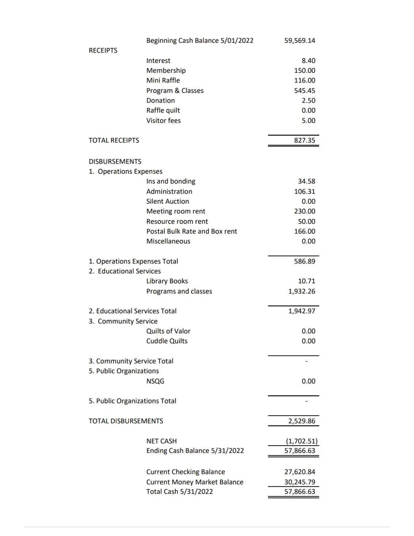|                               | Beginning Cash Balance 5/01/2022    | 59,569.14  |
|-------------------------------|-------------------------------------|------------|
| <b>RECEIPTS</b>               |                                     |            |
|                               | Interest                            | 8.40       |
|                               | Membership                          | 150.00     |
|                               | Mini Raffle                         | 116.00     |
|                               | Program & Classes                   | 545.45     |
|                               | Donation                            | 2.50       |
|                               | Raffle quilt                        | 0.00       |
|                               | <b>Visitor fees</b>                 | 5.00       |
| <b>TOTAL RECEIPTS</b>         |                                     | 827.35     |
| <b>DISBURSEMENTS</b>          |                                     |            |
| 1. Operations Expenses        |                                     |            |
|                               | Ins and bonding                     | 34.58      |
|                               | Administration                      | 106.31     |
|                               | <b>Silent Auction</b>               | 0.00       |
|                               | Meeting room rent                   | 230.00     |
|                               | Resource room rent                  | 50.00      |
|                               | Postal Bulk Rate and Box rent       | 166.00     |
|                               | Miscellaneous                       | 0.00       |
| 1. Operations Expenses Total  |                                     | 586.89     |
| 2. Educational Services       |                                     |            |
|                               | <b>Library Books</b>                | 10.71      |
|                               | Programs and classes                | 1,932.26   |
| 2. Educational Services Total |                                     | 1,942.97   |
| 3. Community Service          |                                     |            |
|                               | Quilts of Valor                     | 0.00       |
|                               | <b>Cuddle Quilts</b>                | 0.00       |
| 3. Community Service Total    |                                     |            |
| 5. Public Organizations       |                                     |            |
|                               | <b>NSQG</b>                         | 0.00       |
| 5. Public Organizations Total |                                     |            |
| <b>TOTAL DISBURSEMENTS</b>    |                                     | 2,529.86   |
|                               | <b>NET CASH</b>                     |            |
|                               |                                     | (1,702.51) |
|                               | Ending Cash Balance 5/31/2022       | 57,866.63  |
|                               | <b>Current Checking Balance</b>     | 27,620.84  |
|                               | <b>Current Money Market Balance</b> | 30,245.79  |
|                               | Total Cash 5/31/2022                | 57,866.63  |
|                               |                                     |            |